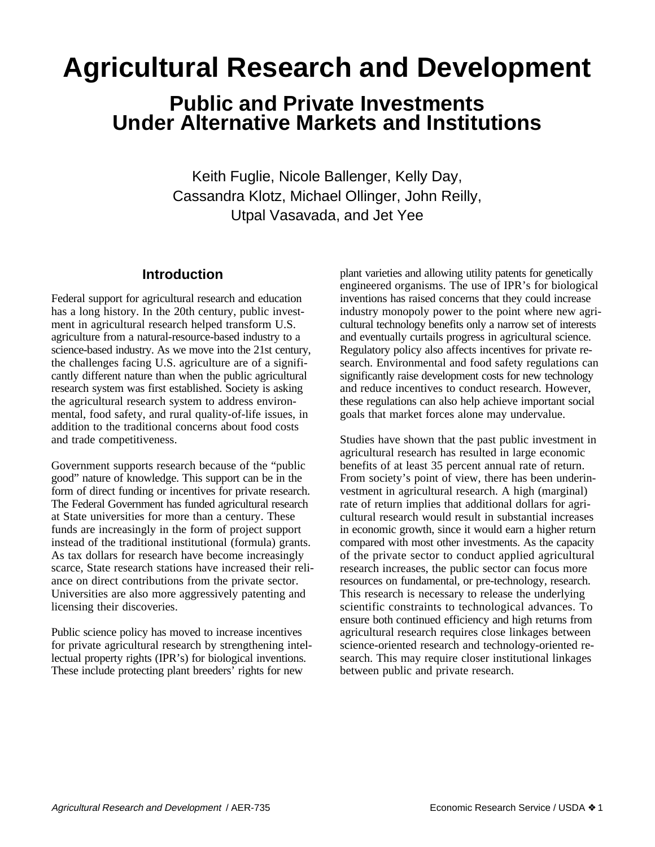# **Agricultural Research and Development**

# **Public and Private Investments Under Alternative Markets and Institutions**

Keith Fuglie, Nicole Ballenger, Kelly Day, Cassandra Klotz, Michael Ollinger, John Reilly, Utpal Vasavada, and Jet Yee

# **Introduction**

Federal support for agricultural research and education has a long history. In the 20th century, public investment in agricultural research helped transform U.S. agriculture from a natural-resource-based industry to a science-based industry. As we move into the 21st century, the challenges facing U.S. agriculture are of a significantly different nature than when the public agricultural research system was first established. Society is asking the agricultural research system to address environmental, food safety, and rural quality-of-life issues, in addition to the traditional concerns about food costs and trade competitiveness.

Government supports research because of the "public good" nature of knowledge. This support can be in the form of direct funding or incentives for private research. The Federal Government has funded agricultural research at State universities for more than a century. These funds are increasingly in the form of project support instead of the traditional institutional (formula) grants. As tax dollars for research have become increasingly scarce, State research stations have increased their reliance on direct contributions from the private sector. Universities are also more aggressively patenting and licensing their discoveries.

Public science policy has moved to increase incentives for private agricultural research by strengthening intellectual property rights (IPR's) for biological inventions. These include protecting plant breeders' rights for new

plant varieties and allowing utility patents for genetically engineered organisms. The use of IPR's for biological inventions has raised concerns that they could increase industry monopoly power to the point where new agricultural technology benefits only a narrow set of interests and eventually curtails progress in agricultural science. Regulatory policy also affects incentives for private research. Environmental and food safety regulations can significantly raise development costs for new technology and reduce incentives to conduct research. However, these regulations can also help achieve important social goals that market forces alone may undervalue.

Studies have shown that the past public investment in agricultural research has resulted in large economic benefits of at least 35 percent annual rate of return. From society's point of view, there has been underinvestment in agricultural research. A high (marginal) rate of return implies that additional dollars for agricultural research would result in substantial increases in economic growth, since it would earn a higher return compared with most other investments. As the capacity of the private sector to conduct applied agricultural research increases, the public sector can focus more resources on fundamental, or pre-technology, research. This research is necessary to release the underlying scientific constraints to technological advances. To ensure both continued efficiency and high returns from agricultural research requires close linkages between science-oriented research and technology-oriented research. This may require closer institutional linkages between public and private research.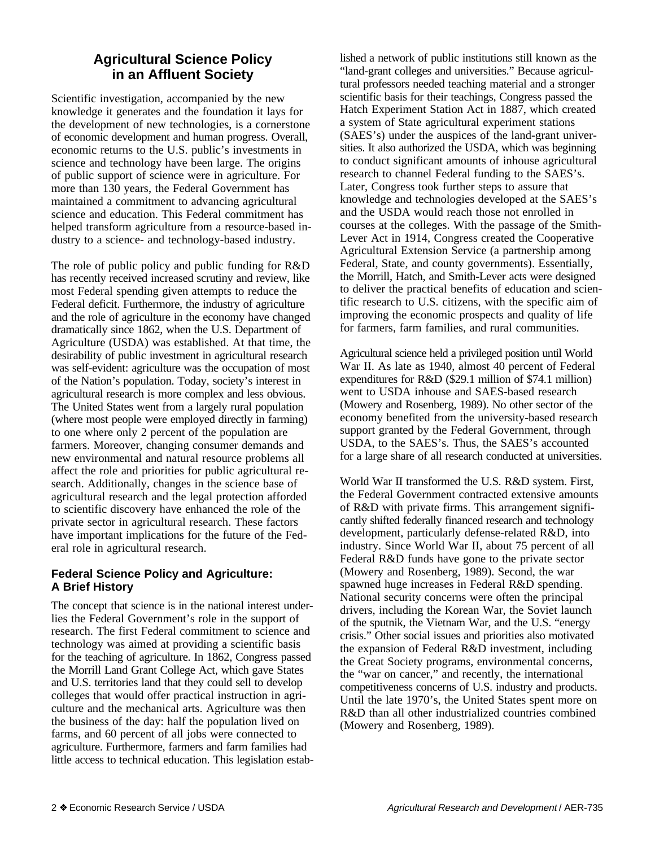# **Agricultural Science Policy in an Affluent Society**

Scientific investigation, accompanied by the new knowledge it generates and the foundation it lays for the development of new technologies, is a cornerstone of economic development and human progress. Overall, economic returns to the U.S. public's investments in science and technology have been large. The origins of public support of science were in agriculture. For more than 130 years, the Federal Government has maintained a commitment to advancing agricultural science and education. This Federal commitment has helped transform agriculture from a resource-based industry to a science- and technology-based industry.

The role of public policy and public funding for R&D has recently received increased scrutiny and review, like most Federal spending given attempts to reduce the Federal deficit. Furthermore, the industry of agriculture and the role of agriculture in the economy have changed dramatically since 1862, when the U.S. Department of Agriculture (USDA) was established. At that time, the desirability of public investment in agricultural research was self-evident: agriculture was the occupation of most of the Nation's population. Today, society's interest in agricultural research is more complex and less obvious. The United States went from a largely rural population (where most people were employed directly in farming) to one where only 2 percent of the population are farmers. Moreover, changing consumer demands and new environmental and natural resource problems all affect the role and priorities for public agricultural research. Additionally, changes in the science base of agricultural research and the legal protection afforded to scientific discovery have enhanced the role of the private sector in agricultural research. These factors have important implications for the future of the Federal role in agricultural research.

# **Federal Science Policy and Agriculture: A Brief History**

The concept that science is in the national interest underlies the Federal Government's role in the support of research. The first Federal commitment to science and technology was aimed at providing a scientific basis for the teaching of agriculture. In 1862, Congress passed the Morrill Land Grant College Act, which gave States and U.S. territories land that they could sell to develop colleges that would offer practical instruction in agriculture and the mechanical arts. Agriculture was then the business of the day: half the population lived on farms, and 60 percent of all jobs were connected to agriculture. Furthermore, farmers and farm families had little access to technical education. This legislation established a network of public institutions still known as the "land-grant colleges and universities." Because agricultural professors needed teaching material and a stronger scientific basis for their teachings, Congress passed the Hatch Experiment Station Act in 1887, which created a system of State agricultural experiment stations (SAES's) under the auspices of the land-grant universities. It also authorized the USDA, which was beginning to conduct significant amounts of inhouse agricultural research to channel Federal funding to the SAES's. Later, Congress took further steps to assure that knowledge and technologies developed at the SAES's and the USDA would reach those not enrolled in courses at the colleges. With the passage of the Smith-Lever Act in 1914, Congress created the Cooperative Agricultural Extension Service (a partnership among Federal, State, and county governments). Essentially, the Morrill, Hatch, and Smith-Lever acts were designed to deliver the practical benefits of education and scientific research to U.S. citizens, with the specific aim of improving the economic prospects and quality of life for farmers, farm families, and rural communities.

Agricultural science held a privileged position until World War II. As late as 1940, almost 40 percent of Federal expenditures for R&D (\$29.1 million of \$74.1 million) went to USDA inhouse and SAES-based research (Mowery and Rosenberg, 1989). No other sector of the economy benefited from the university-based research support granted by the Federal Government, through USDA, to the SAES's. Thus, the SAES's accounted for a large share of all research conducted at universities.

World War II transformed the U.S. R&D system. First, the Federal Government contracted extensive amounts of R&D with private firms. This arrangement significantly shifted federally financed research and technology development, particularly defense-related R&D, into industry. Since World War II, about 75 percent of all Federal R&D funds have gone to the private sector (Mowery and Rosenberg, 1989). Second, the war spawned huge increases in Federal R&D spending. National security concerns were often the principal drivers, including the Korean War, the Soviet launch of the sputnik, the Vietnam War, and the U.S. "energy crisis." Other social issues and priorities also motivated the expansion of Federal R&D investment, including the Great Society programs, environmental concerns, the "war on cancer," and recently, the international competitiveness concerns of U.S. industry and products. Until the late 1970's, the United States spent more on R&D than all other industrialized countries combined (Mowery and Rosenberg, 1989).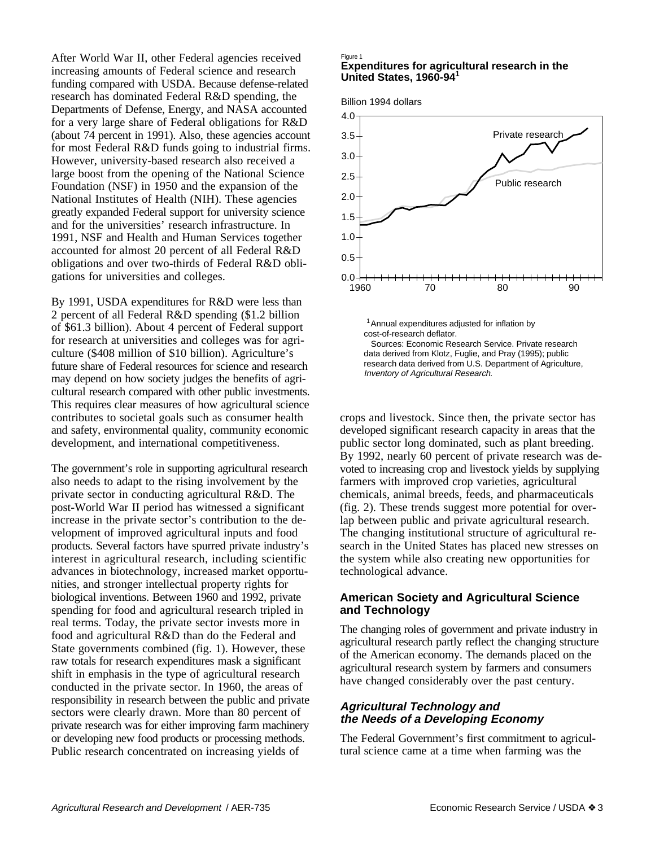After World War II, other Federal agencies received increasing amounts of Federal science and research funding compared with USDA. Because defense-related research has dominated Federal R&D spending, the Departments of Defense, Energy, and NASA accounted for a very large share of Federal obligations for R&D (about 74 percent in 1991). Also, these agencies account for most Federal R&D funds going to industrial firms. However, university-based research also received a large boost from the opening of the National Science Foundation (NSF) in 1950 and the expansion of the National Institutes of Health (NIH). These agencies greatly expanded Federal support for university science and for the universities' research infrastructure. In 1991, NSF and Health and Human Services together accounted for almost 20 percent of all Federal R&D obligations and over two-thirds of Federal R&D obligations for universities and colleges.

By 1991, USDA expenditures for R&D were less than 2 percent of all Federal R&D spending (\$1.2 billion of \$61.3 billion). About 4 percent of Federal support for research at universities and colleges was for agriculture (\$408 million of \$10 billion). Agriculture's future share of Federal resources for science and research may depend on how society judges the benefits of agricultural research compared with other public investments. This requires clear measures of how agricultural science contributes to societal goals such as consumer health and safety, environmental quality, community economic development, and international competitiveness.

The government's role in supporting agricultural research also needs to adapt to the rising involvement by the private sector in conducting agricultural R&D. The post-World War II period has witnessed a significant increase in the private sector's contribution to the development of improved agricultural inputs and food products. Several factors have spurred private industry's interest in agricultural research, including scientific advances in biotechnology, increased market opportunities, and stronger intellectual property rights for biological inventions. Between 1960 and 1992, private spending for food and agricultural research tripled in real terms. Today, the private sector invests more in food and agricultural R&D than do the Federal and State governments combined (fig. 1). However, these raw totals for research expenditures mask a significant shift in emphasis in the type of agricultural research conducted in the private sector. In 1960, the areas of responsibility in research between the public and private sectors were clearly drawn. More than 80 percent of private research was for either improving farm machinery or developing new food products or processing methods. Public research concentrated on increasing yields of

#### Figure 1

#### **1 United States, 1960-94 Expenditures for agricultural research in the**

Billion 1994 dollars



crops and livestock. Since then, the private sector has developed significant research capacity in areas that the public sector long dominated, such as plant breeding. By 1992, nearly 60 percent of private research was devoted to increasing crop and livestock yields by supplying farmers with improved crop varieties, agricultural chemicals, animal breeds, feeds, and pharmaceuticals (fig. 2). These trends suggest more potential for overlap between public and private agricultural research. The changing institutional structure of agricultural research in the United States has placed new stresses on the system while also creating new opportunities for technological advance.

#### **American Society and Agricultural Science and Technology**

The changing roles of government and private industry in agricultural research partly reflect the changing structure of the American economy. The demands placed on the agricultural research system by farmers and consumers have changed considerably over the past century.

# **Agricultural Technology and the Needs of a Developing Economy**

The Federal Government's first commitment to agricultural science came at a time when farming was the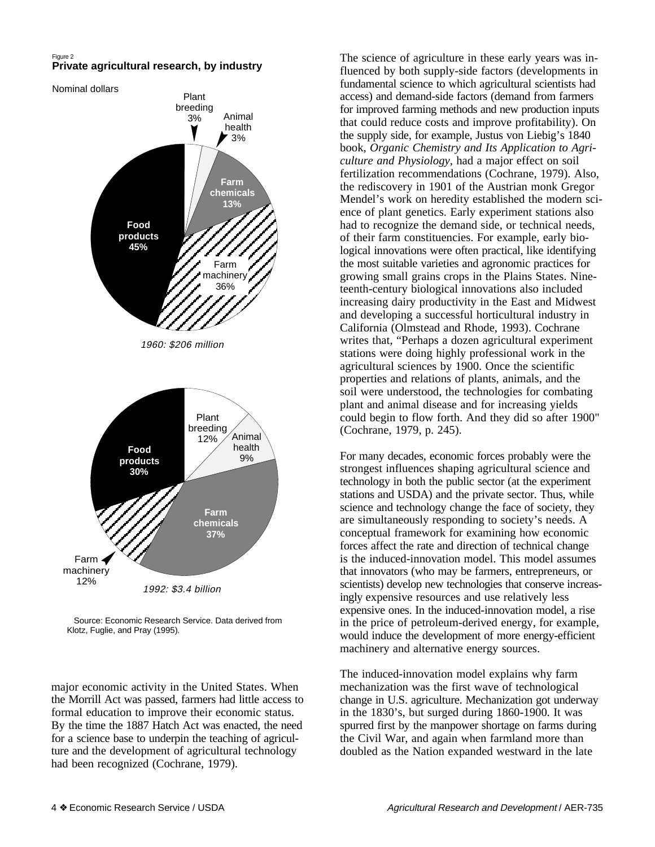#### Figure 2 **Private agricultural research, by industry**

Nominal dollars **Farm chemicals 13%** 1960: \$206 million 1992: \$3.4 billion Plant breeding 3% Animal health 3% Farm machinery 36% **Food products 45%** Plant breeding  $12\%$   $\frac{3}{2}$  Animal health 9% **Farm chemicals 37%** Farm machinery 12% **Food products 30%**

 Source: Economic Research Service. Data derived from Klotz, Fuglie, and Pray (1995).

major economic activity in the United States. When the Morrill Act was passed, farmers had little access to formal education to improve their economic status. By the time the 1887 Hatch Act was enacted, the need for a science base to underpin the teaching of agriculture and the development of agricultural technology had been recognized (Cochrane, 1979).

The science of agriculture in these early years was influenced by both supply-side factors (developments in fundamental science to which agricultural scientists had access) and demand-side factors (demand from farmers for improved farming methods and new production inputs that could reduce costs and improve profitability). On the supply side, for example, Justus von Liebig's 1840 book, *Organic Chemistry and Its Application to Agriculture and Physiology*, had a major effect on soil fertilization recommendations (Cochrane, 1979). Also, the rediscovery in 1901 of the Austrian monk Gregor Mendel's work on heredity established the modern science of plant genetics. Early experiment stations also had to recognize the demand side, or technical needs, of their farm constituencies. For example, early biological innovations were often practical, like identifying the most suitable varieties and agronomic practices for growing small grains crops in the Plains States. Nineteenth-century biological innovations also included increasing dairy productivity in the East and Midwest and developing a successful horticultural industry in California (Olmstead and Rhode, 1993). Cochrane writes that, "Perhaps a dozen agricultural experiment stations were doing highly professional work in the agricultural sciences by 1900. Once the scientific properties and relations of plants, animals, and the soil were understood, the technologies for combating plant and animal disease and for increasing yields could begin to flow forth. And they did so after 1900" (Cochrane, 1979, p. 245).

For many decades, economic forces probably were the strongest influences shaping agricultural science and technology in both the public sector (at the experiment stations and USDA) and the private sector. Thus, while science and technology change the face of society, they are simultaneously responding to society's needs. A conceptual framework for examining how economic forces affect the rate and direction of technical change is the induced-innovation model. This model assumes that innovators (who may be farmers, entrepreneurs, or scientists) develop new technologies that conserve increasingly expensive resources and use relatively less expensive ones. In the induced-innovation model, a rise in the price of petroleum-derived energy, for example, would induce the development of more energy-efficient machinery and alternative energy sources.

The induced-innovation model explains why farm mechanization was the first wave of technological change in U.S. agriculture. Mechanization got underway in the 1830's, but surged during 1860-1900. It was spurred first by the manpower shortage on farms during the Civil War, and again when farmland more than doubled as the Nation expanded westward in the late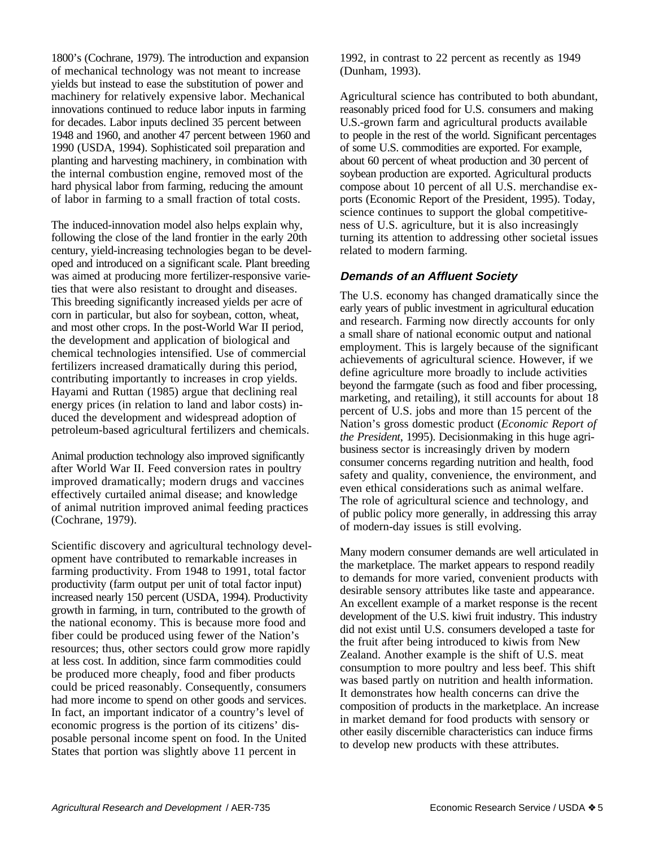1800's (Cochrane, 1979). The introduction and expansion of mechanical technology was not meant to increase yields but instead to ease the substitution of power and machinery for relatively expensive labor. Mechanical innovations continued to reduce labor inputs in farming for decades. Labor inputs declined 35 percent between 1948 and 1960, and another 47 percent between 1960 and 1990 (USDA, 1994). Sophisticated soil preparation and planting and harvesting machinery, in combination with the internal combustion engine, removed most of the hard physical labor from farming, reducing the amount of labor in farming to a small fraction of total costs.

The induced-innovation model also helps explain why, following the close of the land frontier in the early 20th century, yield-increasing technologies began to be developed and introduced on a significant scale. Plant breeding was aimed at producing more fertilizer-responsive varieties that were also resistant to drought and diseases. This breeding significantly increased yields per acre of corn in particular, but also for soybean, cotton, wheat, and most other crops. In the post-World War II period, the development and application of biological and chemical technologies intensified. Use of commercial fertilizers increased dramatically during this period, contributing importantly to increases in crop yields. Hayami and Ruttan (1985) argue that declining real energy prices (in relation to land and labor costs) induced the development and widespread adoption of petroleum-based agricultural fertilizers and chemicals.

Animal production technology also improved significantly after World War II. Feed conversion rates in poultry improved dramatically; modern drugs and vaccines effectively curtailed animal disease; and knowledge of animal nutrition improved animal feeding practices (Cochrane, 1979).

Scientific discovery and agricultural technology development have contributed to remarkable increases in farming productivity. From 1948 to 1991, total factor productivity (farm output per unit of total factor input) increased nearly 150 percent (USDA, 1994). Productivity growth in farming, in turn, contributed to the growth of the national economy. This is because more food and fiber could be produced using fewer of the Nation's resources; thus, other sectors could grow more rapidly at less cost. In addition, since farm commodities could be produced more cheaply, food and fiber products could be priced reasonably. Consequently, consumers had more income to spend on other goods and services. In fact, an important indicator of a country's level of economic progress is the portion of its citizens' disposable personal income spent on food. In the United States that portion was slightly above 11 percent in

1992, in contrast to 22 percent as recently as 1949 (Dunham, 1993).

Agricultural science has contributed to both abundant, reasonably priced food for U.S. consumers and making U.S.-grown farm and agricultural products available to people in the rest of the world. Significant percentages of some U.S. commodities are exported. For example, about 60 percent of wheat production and 30 percent of soybean production are exported. Agricultural products compose about 10 percent of all U.S. merchandise exports (Economic Report of the President, 1995). Today, science continues to support the global competitiveness of U.S. agriculture, but it is also increasingly turning its attention to addressing other societal issues related to modern farming.

# **Demands of an Affluent Society**

The U.S. economy has changed dramatically since the early years of public investment in agricultural education and research. Farming now directly accounts for only a small share of national economic output and national employment. This is largely because of the significant achievements of agricultural science. However, if we define agriculture more broadly to include activities beyond the farmgate (such as food and fiber processing, marketing, and retailing), it still accounts for about 18 percent of U.S. jobs and more than 15 percent of the Nation's gross domestic product (*Economic Report of the President*, 1995). Decisionmaking in this huge agribusiness sector is increasingly driven by modern consumer concerns regarding nutrition and health, food safety and quality, convenience, the environment, and even ethical considerations such as animal welfare. The role of agricultural science and technology, and of public policy more generally, in addressing this array of modern-day issues is still evolving.

Many modern consumer demands are well articulated in the marketplace. The market appears to respond readily to demands for more varied, convenient products with desirable sensory attributes like taste and appearance. An excellent example of a market response is the recent development of the U.S. kiwi fruit industry. This industry did not exist until U.S. consumers developed a taste for the fruit after being introduced to kiwis from New Zealand. Another example is the shift of U.S. meat consumption to more poultry and less beef. This shift was based partly on nutrition and health information. It demonstrates how health concerns can drive the composition of products in the marketplace. An increase in market demand for food products with sensory or other easily discernible characteristics can induce firms to develop new products with these attributes.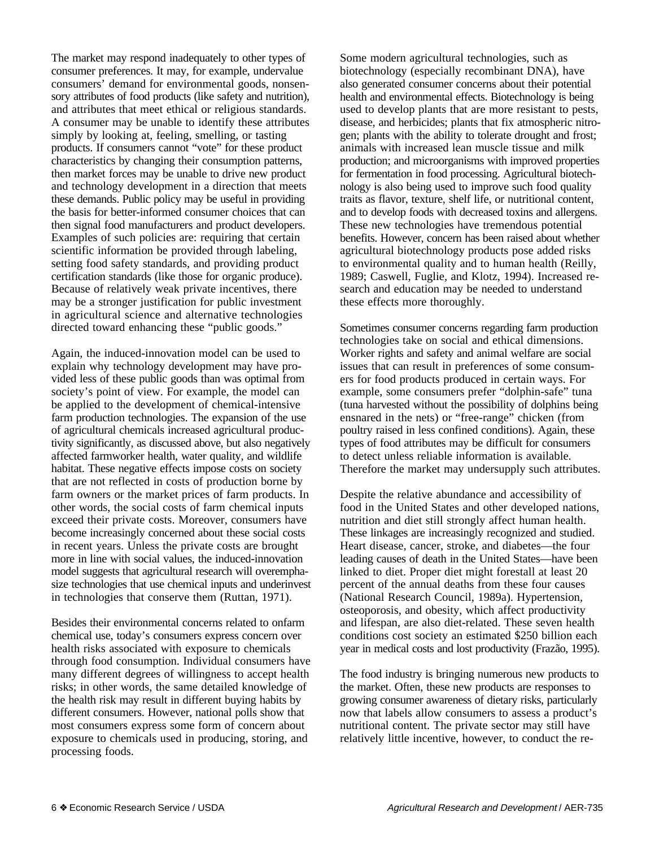The market may respond inadequately to other types of consumer preferences. It may, for example, undervalue consumers' demand for environmental goods, nonsensory attributes of food products (like safety and nutrition), and attributes that meet ethical or religious standards. A consumer may be unable to identify these attributes simply by looking at, feeling, smelling, or tasting products. If consumers cannot "vote" for these product characteristics by changing their consumption patterns, then market forces may be unable to drive new product and technology development in a direction that meets these demands. Public policy may be useful in providing the basis for better-informed consumer choices that can then signal food manufacturers and product developers. Examples of such policies are: requiring that certain scientific information be provided through labeling, setting food safety standards, and providing product certification standards (like those for organic produce). Because of relatively weak private incentives, there may be a stronger justification for public investment in agricultural science and alternative technologies directed toward enhancing these "public goods."

Again, the induced-innovation model can be used to explain why technology development may have provided less of these public goods than was optimal from society's point of view. For example, the model can be applied to the development of chemical-intensive farm production technologies. The expansion of the use of agricultural chemicals increased agricultural productivity significantly, as discussed above, but also negatively affected farmworker health, water quality, and wildlife habitat. These negative effects impose costs on society that are not reflected in costs of production borne by farm owners or the market prices of farm products. In other words, the social costs of farm chemical inputs exceed their private costs. Moreover, consumers have become increasingly concerned about these social costs in recent years. Unless the private costs are brought more in line with social values, the induced-innovation model suggests that agricultural research will overemphasize technologies that use chemical inputs and underinvest in technologies that conserve them (Ruttan, 1971).

Besides their environmental concerns related to onfarm chemical use, today's consumers express concern over health risks associated with exposure to chemicals through food consumption. Individual consumers have many different degrees of willingness to accept health risks; in other words, the same detailed knowledge of the health risk may result in different buying habits by different consumers. However, national polls show that most consumers express some form of concern about exposure to chemicals used in producing, storing, and processing foods.

Some modern agricultural technologies, such as biotechnology (especially recombinant DNA), have also generated consumer concerns about their potential health and environmental effects. Biotechnology is being used to develop plants that are more resistant to pests, disease, and herbicides; plants that fix atmospheric nitrogen; plants with the ability to tolerate drought and frost; animals with increased lean muscle tissue and milk production; and microorganisms with improved properties for fermentation in food processing. Agricultural biotechnology is also being used to improve such food quality traits as flavor, texture, shelf life, or nutritional content, and to develop foods with decreased toxins and allergens. These new technologies have tremendous potential benefits. However, concern has been raised about whether agricultural biotechnology products pose added risks to environmental quality and to human health (Reilly, 1989; Caswell, Fuglie, and Klotz, 1994). Increased research and education may be needed to understand these effects more thoroughly.

Sometimes consumer concerns regarding farm production technologies take on social and ethical dimensions. Worker rights and safety and animal welfare are social issues that can result in preferences of some consumers for food products produced in certain ways. For example, some consumers prefer "dolphin-safe" tuna (tuna harvested without the possibility of dolphins being ensnared in the nets) or "free-range" chicken (from poultry raised in less confined conditions). Again, these types of food attributes may be difficult for consumers to detect unless reliable information is available. Therefore the market may undersupply such attributes.

Despite the relative abundance and accessibility of food in the United States and other developed nations, nutrition and diet still strongly affect human health. These linkages are increasingly recognized and studied. Heart disease, cancer, stroke, and diabetes—the four leading causes of death in the United States—have been linked to diet. Proper diet might forestall at least 20 percent of the annual deaths from these four causes (National Research Council, 1989a). Hypertension, osteoporosis, and obesity, which affect productivity and lifespan, are also diet-related. These seven health conditions cost society an estimated \$250 billion each year in medical costs and lost productivity (Frazão, 1995).

The food industry is bringing numerous new products to the market. Often, these new products are responses to growing consumer awareness of dietary risks, particularly now that labels allow consumers to assess a product's nutritional content. The private sector may still have relatively little incentive, however, to conduct the re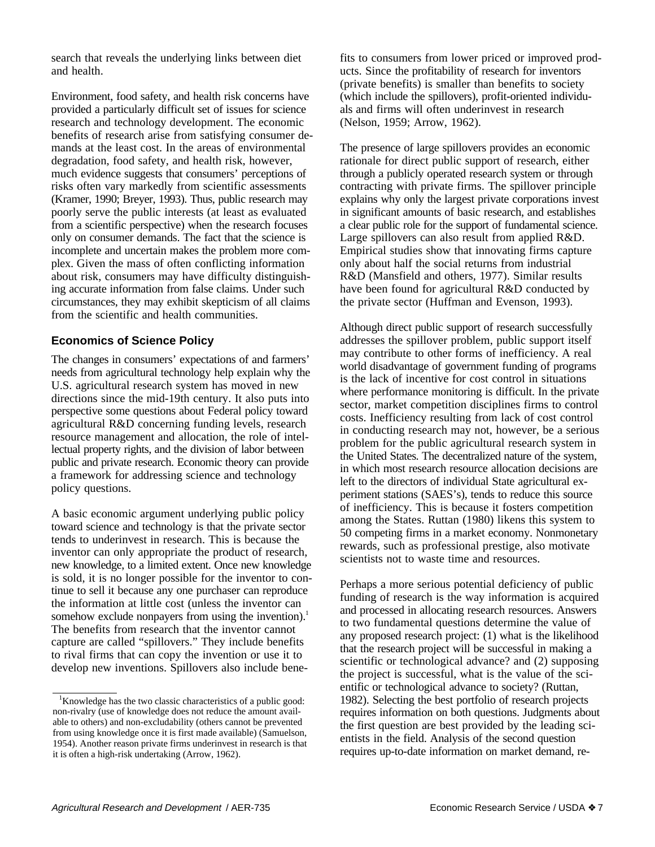search that reveals the underlying links between diet and health.

Environment, food safety, and health risk concerns have provided a particularly difficult set of issues for science research and technology development. The economic benefits of research arise from satisfying consumer demands at the least cost. In the areas of environmental degradation, food safety, and health risk, however, much evidence suggests that consumers' perceptions of risks often vary markedly from scientific assessments (Kramer, 1990; Breyer, 1993). Thus, public research may poorly serve the public interests (at least as evaluated from a scientific perspective) when the research focuses only on consumer demands. The fact that the science is incomplete and uncertain makes the problem more complex. Given the mass of often conflicting information about risk, consumers may have difficulty distinguishing accurate information from false claims. Under such circumstances, they may exhibit skepticism of all claims from the scientific and health communities.

# **Economics of Science Policy**

The changes in consumers' expectations of and farmers' needs from agricultural technology help explain why the U.S. agricultural research system has moved in new directions since the mid-19th century. It also puts into perspective some questions about Federal policy toward agricultural R&D concerning funding levels, research resource management and allocation, the role of intellectual property rights, and the division of labor between public and private research. Economic theory can provide a framework for addressing science and technology policy questions.

A basic economic argument underlying public policy toward science and technology is that the private sector tends to underinvest in research. This is because the inventor can only appropriate the product of research, new knowledge, to a limited extent. Once new knowledge is sold, it is no longer possible for the inventor to continue to sell it because any one purchaser can reproduce the information at little cost (unless the inventor can somehow exclude nonpayers from using the invention).<sup>1</sup> The benefits from research that the inventor cannot capture are called "spillovers." They include benefits to rival firms that can copy the invention or use it to develop new inventions. Spillovers also include bene-

fits to consumers from lower priced or improved products. Since the profitability of research for inventors (private benefits) is smaller than benefits to society (which include the spillovers), profit-oriented individuals and firms will often underinvest in research (Nelson, 1959; Arrow, 1962).

The presence of large spillovers provides an economic rationale for direct public support of research, either through a publicly operated research system or through contracting with private firms. The spillover principle explains why only the largest private corporations invest in significant amounts of basic research, and establishes a clear public role for the support of fundamental science. Large spillovers can also result from applied R&D. Empirical studies show that innovating firms capture only about half the social returns from industrial R&D (Mansfield and others, 1977). Similar results have been found for agricultural R&D conducted by the private sector (Huffman and Evenson, 1993).

Although direct public support of research successfully addresses the spillover problem, public support itself may contribute to other forms of inefficiency. A real world disadvantage of government funding of programs is the lack of incentive for cost control in situations where performance monitoring is difficult. In the private sector, market competition disciplines firms to control costs. Inefficiency resulting from lack of cost control in conducting research may not, however, be a serious problem for the public agricultural research system in the United States. The decentralized nature of the system, in which most research resource allocation decisions are left to the directors of individual State agricultural experiment stations (SAES's), tends to reduce this source of inefficiency. This is because it fosters competition among the States. Ruttan (1980) likens this system to 50 competing firms in a market economy. Nonmonetary rewards, such as professional prestige, also motivate scientists not to waste time and resources.

Perhaps a more serious potential deficiency of public funding of research is the way information is acquired and processed in allocating research resources. Answers to two fundamental questions determine the value of any proposed research project: (1) what is the likelihood that the research project will be successful in making a scientific or technological advance? and (2) supposing the project is successful, what is the value of the scientific or technological advance to society? (Ruttan, 1982). Selecting the best portfolio of research projects requires information on both questions. Judgments about the first question are best provided by the leading scientists in the field. Analysis of the second question requires up-to-date information on market demand, re-

<sup>&</sup>lt;sup>1</sup>Knowledge has the two classic characteristics of a public good: non-rivalry (use of knowledge does not reduce the amount available to others) and non-excludability (others cannot be prevented from using knowledge once it is first made available) (Samuelson, 1954). Another reason private firms underinvest in research is that it is often a high-risk undertaking (Arrow, 1962).